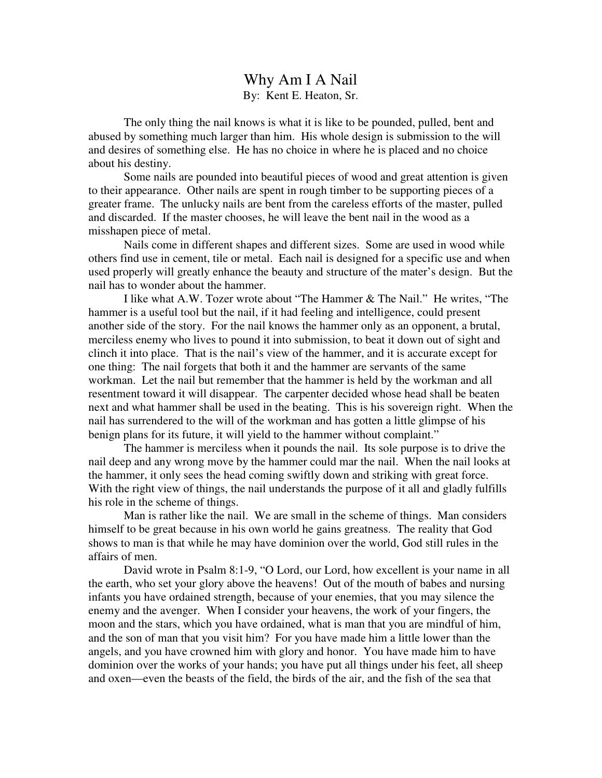## Why Am I A Nail By: Kent E. Heaton, Sr.

 The only thing the nail knows is what it is like to be pounded, pulled, bent and abused by something much larger than him. His whole design is submission to the will and desires of something else. He has no choice in where he is placed and no choice about his destiny.

 Some nails are pounded into beautiful pieces of wood and great attention is given to their appearance. Other nails are spent in rough timber to be supporting pieces of a greater frame. The unlucky nails are bent from the careless efforts of the master, pulled and discarded. If the master chooses, he will leave the bent nail in the wood as a misshapen piece of metal.

 Nails come in different shapes and different sizes. Some are used in wood while others find use in cement, tile or metal. Each nail is designed for a specific use and when used properly will greatly enhance the beauty and structure of the mater's design. But the nail has to wonder about the hammer.

 I like what A.W. Tozer wrote about "The Hammer & The Nail." He writes, "The hammer is a useful tool but the nail, if it had feeling and intelligence, could present another side of the story. For the nail knows the hammer only as an opponent, a brutal, merciless enemy who lives to pound it into submission, to beat it down out of sight and clinch it into place. That is the nail's view of the hammer, and it is accurate except for one thing: The nail forgets that both it and the hammer are servants of the same workman. Let the nail but remember that the hammer is held by the workman and all resentment toward it will disappear. The carpenter decided whose head shall be beaten next and what hammer shall be used in the beating. This is his sovereign right. When the nail has surrendered to the will of the workman and has gotten a little glimpse of his benign plans for its future, it will yield to the hammer without complaint."

 The hammer is merciless when it pounds the nail. Its sole purpose is to drive the nail deep and any wrong move by the hammer could mar the nail. When the nail looks at the hammer, it only sees the head coming swiftly down and striking with great force. With the right view of things, the nail understands the purpose of it all and gladly fulfills his role in the scheme of things.

 Man is rather like the nail. We are small in the scheme of things. Man considers himself to be great because in his own world he gains greatness. The reality that God shows to man is that while he may have dominion over the world, God still rules in the affairs of men.

 David wrote in Psalm 8:1-9, "O Lord, our Lord, how excellent is your name in all the earth, who set your glory above the heavens! Out of the mouth of babes and nursing infants you have ordained strength, because of your enemies, that you may silence the enemy and the avenger. When I consider your heavens, the work of your fingers, the moon and the stars, which you have ordained, what is man that you are mindful of him, and the son of man that you visit him? For you have made him a little lower than the angels, and you have crowned him with glory and honor. You have made him to have dominion over the works of your hands; you have put all things under his feet, all sheep and oxen—even the beasts of the field, the birds of the air, and the fish of the sea that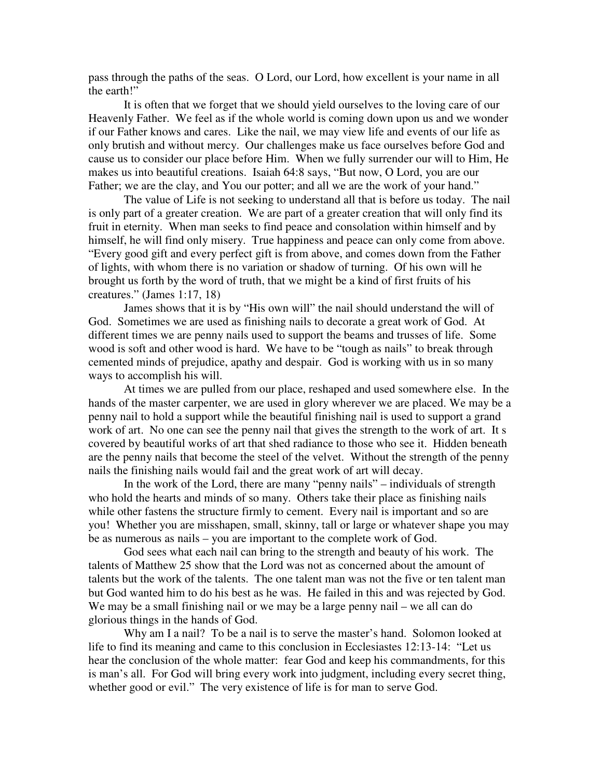pass through the paths of the seas. O Lord, our Lord, how excellent is your name in all the earth!"

 It is often that we forget that we should yield ourselves to the loving care of our Heavenly Father. We feel as if the whole world is coming down upon us and we wonder if our Father knows and cares. Like the nail, we may view life and events of our life as only brutish and without mercy. Our challenges make us face ourselves before God and cause us to consider our place before Him. When we fully surrender our will to Him, He makes us into beautiful creations. Isaiah 64:8 says, "But now, O Lord, you are our Father; we are the clay, and You our potter; and all we are the work of your hand."

 The value of Life is not seeking to understand all that is before us today. The nail is only part of a greater creation. We are part of a greater creation that will only find its fruit in eternity. When man seeks to find peace and consolation within himself and by himself, he will find only misery. True happiness and peace can only come from above. "Every good gift and every perfect gift is from above, and comes down from the Father of lights, with whom there is no variation or shadow of turning. Of his own will he brought us forth by the word of truth, that we might be a kind of first fruits of his creatures." (James 1:17, 18)

 James shows that it is by "His own will" the nail should understand the will of God. Sometimes we are used as finishing nails to decorate a great work of God. At different times we are penny nails used to support the beams and trusses of life. Some wood is soft and other wood is hard. We have to be "tough as nails" to break through cemented minds of prejudice, apathy and despair. God is working with us in so many ways to accomplish his will.

 At times we are pulled from our place, reshaped and used somewhere else. In the hands of the master carpenter, we are used in glory wherever we are placed. We may be a penny nail to hold a support while the beautiful finishing nail is used to support a grand work of art. No one can see the penny nail that gives the strength to the work of art. It s covered by beautiful works of art that shed radiance to those who see it. Hidden beneath are the penny nails that become the steel of the velvet. Without the strength of the penny nails the finishing nails would fail and the great work of art will decay.

 In the work of the Lord, there are many "penny nails" – individuals of strength who hold the hearts and minds of so many. Others take their place as finishing nails while other fastens the structure firmly to cement. Every nail is important and so are you! Whether you are misshapen, small, skinny, tall or large or whatever shape you may be as numerous as nails – you are important to the complete work of God.

 God sees what each nail can bring to the strength and beauty of his work. The talents of Matthew 25 show that the Lord was not as concerned about the amount of talents but the work of the talents. The one talent man was not the five or ten talent man but God wanted him to do his best as he was. He failed in this and was rejected by God. We may be a small finishing nail or we may be a large penny nail – we all can do glorious things in the hands of God.

Why am I a nail? To be a nail is to serve the master's hand. Solomon looked at life to find its meaning and came to this conclusion in Ecclesiastes 12:13-14: "Let us hear the conclusion of the whole matter: fear God and keep his commandments, for this is man's all. For God will bring every work into judgment, including every secret thing, whether good or evil." The very existence of life is for man to serve God.